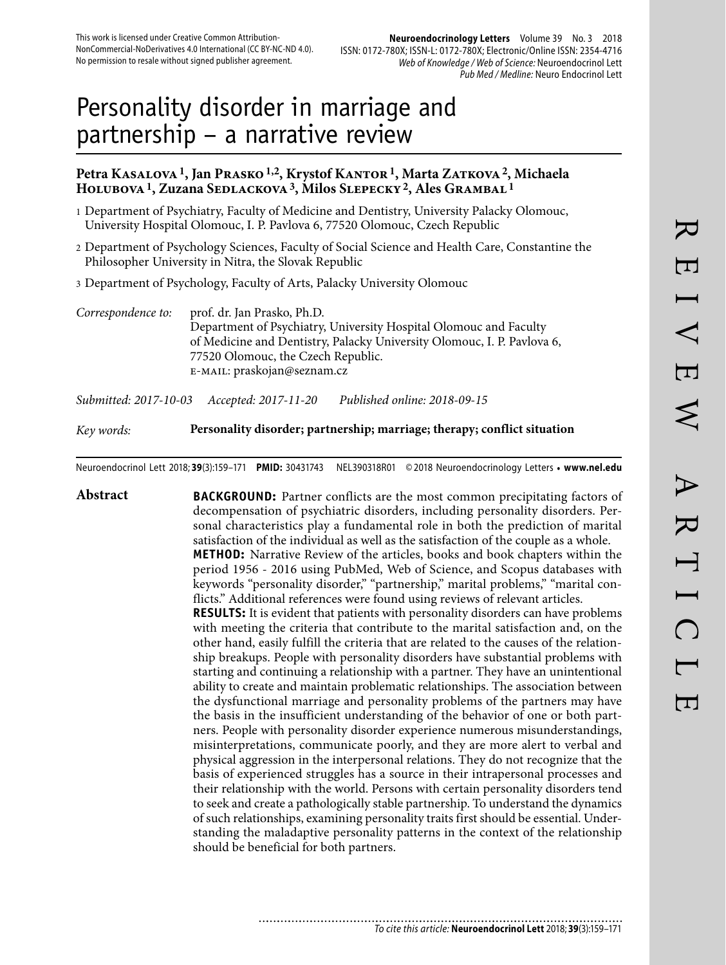# Personality disorder in marriage and partnership – a narrative review

## Petra Kasalova <sup>1</sup>, Jan Prasko <sup>1, 2</sup>, Krystof Kantor <sup>1</sup>, Marta Zatkova <sup>2</sup>, Michaela **Holubova 1, Zuzana Sedlackova 3, Milos Slepecky 2, Ales Grambal 1**

- 1 Department of Psychiatry, Faculty of Medicine and Dentistry, University Palacky Olomouc, University Hospital Olomouc, I. P. Pavlova 6, 77520 Olomouc, Czech Republic
- 2 Department of Psychology Sciences, Faculty of Social Science and Health Care, Constantine the Philosopher University in Nitra, the Slovak Republic
- 3 Department of Psychology, Faculty of Arts, Palacky University Olomouc

*Correspondence to:* prof. dr. Jan Prasko, Ph.D. Department of Psychiatry, University Hospital Olomouc and Faculty of Medicine and Dentistry, Palacky University Olomouc, I. P. Pavlova 6, 77520 Olomouc, the Czech Republic. e-mail: praskojan@seznam.cz

*Submitted: 2017-10-03 Accepted: 2017-11-20 Published online: 2018-09-15*

## *Key words:* **Personality disorder; partnership; marriage; therapy; conflict situation**

Neuroendocrinol Lett 2018; **39**(3):159–171 **PMID:** 30431743 NEL390318R01 © 2018 Neuroendocrinology Letters • **www.nel.edu**

**Abstract BACKGROUND:** Partner conflicts are the most common precipitating factors of decompensation of psychiatric disorders, including personality disorders. Personal characteristics play a fundamental role in both the prediction of marital satisfaction of the individual as well as the satisfaction of the couple as a whole. **METHOD:** Narrative Review of the articles, books and book chapters within the period 1956 - 2016 using PubMed, Web of Science, and Scopus databases with keywords "personality disorder," "partnership," marital problems," "marital conflicts." Additional references were found using reviews of relevant articles. **RESULTS:** It is evident that patients with personality disorders can have problems with meeting the criteria that contribute to the marital satisfaction and, on the other hand, easily fulfill the criteria that are related to the causes of the relationship breakups. People with personality disorders have substantial problems with starting and continuing a relationship with a partner. They have an unintentional ability to create and maintain problematic relationships. The association between the dysfunctional marriage and personality problems of the partners may have the basis in the insufficient understanding of the behavior of one or both partners. People with personality disorder experience numerous misunderstandings, misinterpretations, communicate poorly, and they are more alert to verbal and physical aggression in the interpersonal relations. They do not recognize that the basis of experienced struggles has a source in their intrapersonal processes and their relationship with the world. Persons with certain personality disorders tend to seek and create a pathologically stable partnership. To understand the dynamics of such relationships, examining personality traits first should be essential. Understanding the maladaptive personality patterns in the context of the relationship should be beneficial for both partners.

> ............................ To cite this article: **Neuroendocrinol Lett** 2018; **39**(3):159–171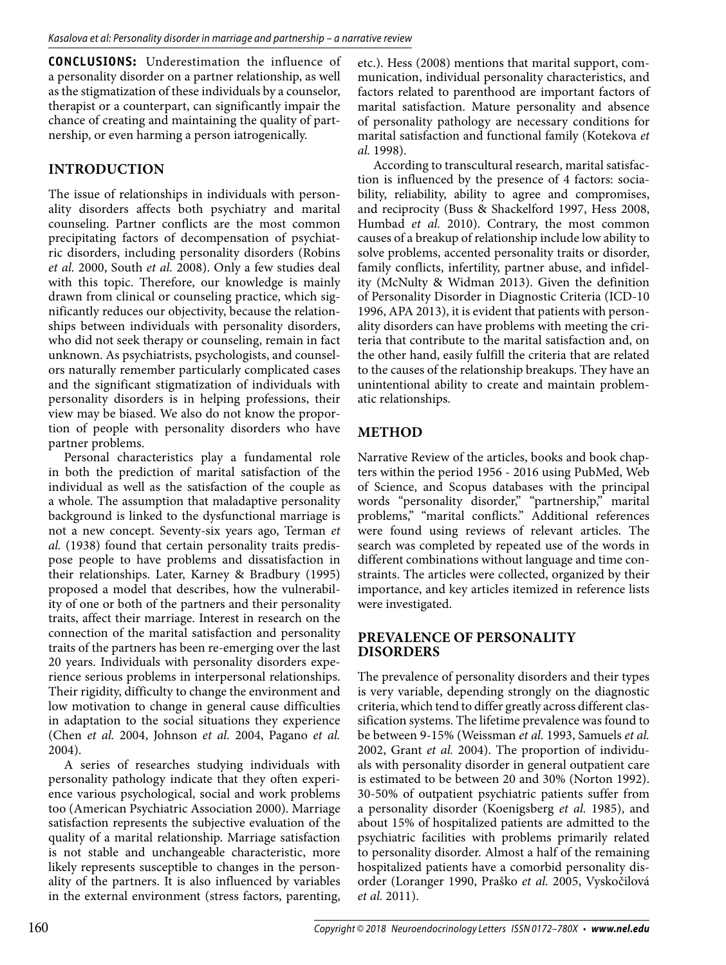**CONCLUSIONS:** Underestimation the influence of a personality disorder on a partner relationship, as well as the stigmatization of these individuals by a counselor, therapist or a counterpart, can significantly impair the chance of creating and maintaining the quality of partnership, or even harming a person iatrogenically.

# **INTRODUCTION**

The issue of relationships in individuals with personality disorders affects both psychiatry and marital counseling. Partner conflicts are the most common precipitating factors of decompensation of psychiatric disorders, including personality disorders (Robins *et al.* 2000, South *et al.* 2008). Only a few studies deal with this topic. Therefore, our knowledge is mainly drawn from clinical or counseling practice, which significantly reduces our objectivity, because the relationships between individuals with personality disorders, who did not seek therapy or counseling, remain in fact unknown. As psychiatrists, psychologists, and counselors naturally remember particularly complicated cases and the significant stigmatization of individuals with personality disorders is in helping professions, their view may be biased. We also do not know the proportion of people with personality disorders who have partner problems.

Personal characteristics play a fundamental role in both the prediction of marital satisfaction of the individual as well as the satisfaction of the couple as a whole. The assumption that maladaptive personality background is linked to the dysfunctional marriage is not a new concept. Seventy-six years ago, Terman *et al.* (1938) found that certain personality traits predispose people to have problems and dissatisfaction in their relationships. Later, Karney & Bradbury (1995) proposed a model that describes, how the vulnerability of one or both of the partners and their personality traits, affect their marriage. Interest in research on the connection of the marital satisfaction and personality traits of the partners has been re-emerging over the last 20 years. Individuals with personality disorders experience serious problems in interpersonal relationships. Their rigidity, difficulty to change the environment and low motivation to change in general cause difficulties in adaptation to the social situations they experience (Chen *et al.* 2004, Johnson *et al.* 2004, Pagano *et al.* 2004).

A series of researches studying individuals with personality pathology indicate that they often experience various psychological, social and work problems too (American Psychiatric Association 2000). Marriage satisfaction represents the subjective evaluation of the quality of a marital relationship. Marriage satisfaction is not stable and unchangeable characteristic, more likely represents susceptible to changes in the personality of the partners. It is also influenced by variables in the external environment (stress factors, parenting, etc.). Hess (2008) mentions that marital support, communication, individual personality characteristics, and factors related to parenthood are important factors of marital satisfaction. Mature personality and absence of personality pathology are necessary conditions for marital satisfaction and functional family (Kotekova *et al.* 1998).

According to transcultural research, marital satisfaction is influenced by the presence of 4 factors: sociability, reliability, ability to agree and compromises, and reciprocity (Buss & Shackelford 1997, Hess 2008, Humbad *et al.* 2010). Contrary, the most common causes of a breakup of relationship include low ability to solve problems, accented personality traits or disorder, family conflicts, infertility, partner abuse, and infidelity (McNulty & Widman 2013). Given the definition of Personality Disorder in Diagnostic Criteria (ICD-10 1996, APA 2013), it is evident that patients with personality disorders can have problems with meeting the criteria that contribute to the marital satisfaction and, on the other hand, easily fulfill the criteria that are related to the causes of the relationship breakups. They have an unintentional ability to create and maintain problematic relationships.

# **METHOD**

Narrative Review of the articles, books and book chapters within the period 1956 - 2016 using PubMed, Web of Science, and Scopus databases with the principal words "personality disorder," "partnership," marital problems," "marital conflicts." Additional references were found using reviews of relevant articles. The search was completed by repeated use of the words in different combinations without language and time constraints. The articles were collected, organized by their importance, and key articles itemized in reference lists were investigated.

## **PREVALENCE OF PERSONALITY DISORDERS**

The prevalence of personality disorders and their types is very variable, depending strongly on the diagnostic criteria, which tend to differ greatly across different classification systems. The lifetime prevalence was found to be between 9-15% (Weissman *et al.* 1993, Samuels *et al.* 2002, Grant *et al.* 2004). The proportion of individuals with personality disorder in general outpatient care is estimated to be between 20 and 30% (Norton 1992). 30-50% of outpatient psychiatric patients suffer from a personality disorder (Koenigsberg *et al.* 1985), and about 15% of hospitalized patients are admitted to the psychiatric facilities with problems primarily related to personality disorder. Almost a half of the remaining hospitalized patients have a comorbid personality disorder (Loranger 1990, Praško *et al.* 2005, Vyskočilová *et al.* 2011).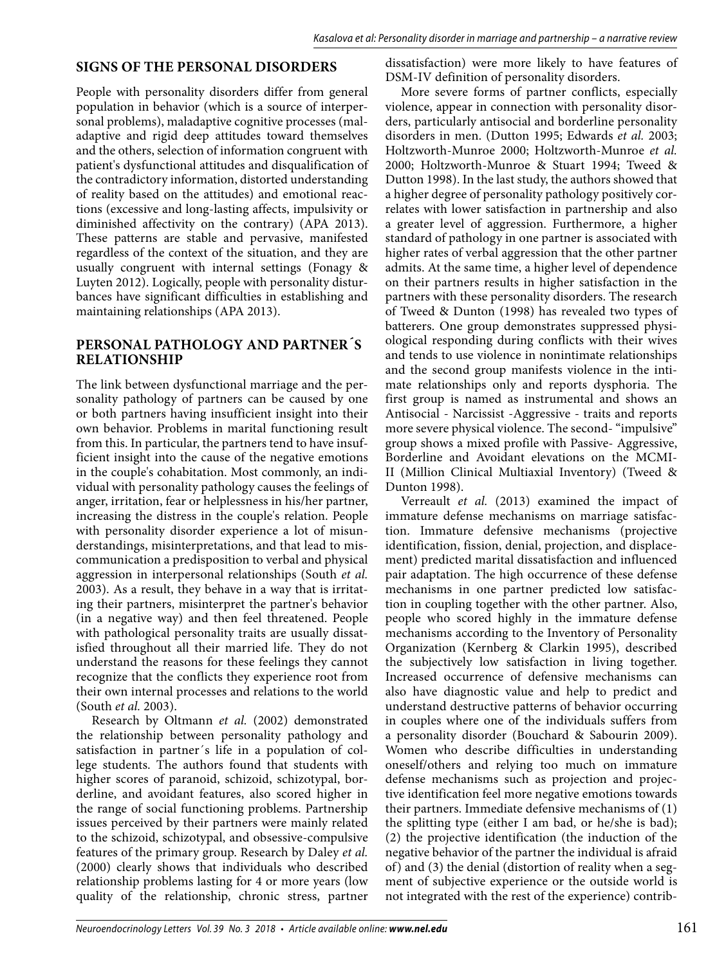### **SIGNS OF THE PERSONAL DISORDERS**

People with personality disorders differ from general population in behavior (which is a source of interpersonal problems), maladaptive cognitive processes (maladaptive and rigid deep attitudes toward themselves and the others, selection of information congruent with patient's dysfunctional attitudes and disqualification of the contradictory information, distorted understanding of reality based on the attitudes) and emotional reactions (excessive and long-lasting affects, impulsivity or diminished affectivity on the contrary) (APA 2013). These patterns are stable and pervasive, manifested regardless of the context of the situation, and they are usually congruent with internal settings (Fonagy & Luyten 2012). Logically, people with personality disturbances have significant difficulties in establishing and maintaining relationships (APA 2013).

#### **PERSONAL PATHOLOGY AND PARTNER´S RELATIONSHIP**

The link between dysfunctional marriage and the personality pathology of partners can be caused by one or both partners having insufficient insight into their own behavior. Problems in marital functioning result from this. In particular, the partners tend to have insufficient insight into the cause of the negative emotions in the couple's cohabitation. Most commonly, an individual with personality pathology causes the feelings of anger, irritation, fear or helplessness in his/her partner, increasing the distress in the couple's relation. People with personality disorder experience a lot of misunderstandings, misinterpretations, and that lead to miscommunication a predisposition to verbal and physical aggression in interpersonal relationships (South *et al.* 2003). As a result, they behave in a way that is irritating their partners, misinterpret the partner's behavior (in a negative way) and then feel threatened. People with pathological personality traits are usually dissatisfied throughout all their married life. They do not understand the reasons for these feelings they cannot recognize that the conflicts they experience root from their own internal processes and relations to the world (South *et al.* 2003).

Research by Oltmann *et al.* (2002) demonstrated the relationship between personality pathology and satisfaction in partner´s life in a population of college students. The authors found that students with higher scores of paranoid, schizoid, schizotypal, borderline, and avoidant features, also scored higher in the range of social functioning problems. Partnership issues perceived by their partners were mainly related to the schizoid, schizotypal, and obsessive-compulsive features of the primary group. Research by Daley *et al.* (2000) clearly shows that individuals who described relationship problems lasting for 4 or more years (low quality of the relationship, chronic stress, partner

dissatisfaction) were more likely to have features of DSM-IV definition of personality disorders.

More severe forms of partner conflicts, especially violence, appear in connection with personality disorders, particularly antisocial and borderline personality disorders in men. (Dutton 1995; Edwards *et al.* 2003; Holtzworth-Munroe 2000; Holtzworth-Munroe *et al.* 2000; Holtzworth-Munroe & Stuart 1994; Tweed & Dutton 1998). In the last study, the authors showed that a higher degree of personality pathology positively correlates with lower satisfaction in partnership and also a greater level of aggression. Furthermore, a higher standard of pathology in one partner is associated with higher rates of verbal aggression that the other partner admits. At the same time, a higher level of dependence on their partners results in higher satisfaction in the partners with these personality disorders. The research of Tweed & Dunton (1998) has revealed two types of batterers. One group demonstrates suppressed physiological responding during conflicts with their wives and tends to use violence in nonintimate relationships and the second group manifests violence in the intimate relationships only and reports dysphoria. The first group is named as instrumental and shows an Antisocial - Narcissist -Aggressive - traits and reports more severe physical violence. The second- "impulsive" group shows a mixed profile with Passive- Aggressive, Borderline and Avoidant elevations on the MCMI-II (Million Clinical Multiaxial Inventory) (Tweed & Dunton 1998).

Verreault *et al.* (2013) examined the impact of immature defense mechanisms on marriage satisfaction. Immature defensive mechanisms (projective identification, fission, denial, projection, and displacement) predicted marital dissatisfaction and influenced pair adaptation. The high occurrence of these defense mechanisms in one partner predicted low satisfaction in coupling together with the other partner. Also, people who scored highly in the immature defense mechanisms according to the Inventory of Personality Organization (Kernberg & Clarkin 1995), described the subjectively low satisfaction in living together. Increased occurrence of defensive mechanisms can also have diagnostic value and help to predict and understand destructive patterns of behavior occurring in couples where one of the individuals suffers from a personality disorder (Bouchard & Sabourin 2009). Women who describe difficulties in understanding oneself/others and relying too much on immature defense mechanisms such as projection and projective identification feel more negative emotions towards their partners. Immediate defensive mechanisms of (1) the splitting type (either I am bad, or he/she is bad); (2) the projective identification (the induction of the negative behavior of the partner the individual is afraid of) and (3) the denial (distortion of reality when a segment of subjective experience or the outside world is not integrated with the rest of the experience) contrib-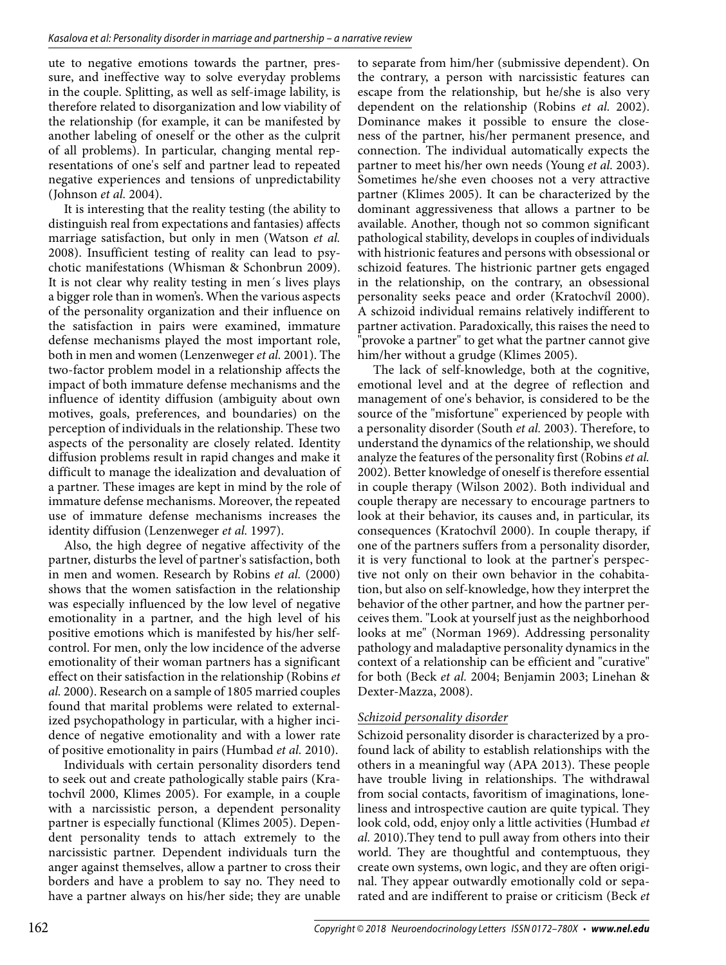ute to negative emotions towards the partner, pressure, and ineffective way to solve everyday problems in the couple. Splitting, as well as self-image lability, is therefore related to disorganization and low viability of the relationship (for example, it can be manifested by another labeling of oneself or the other as the culprit of all problems). In particular, changing mental representations of one's self and partner lead to repeated negative experiences and tensions of unpredictability (Johnson *et al.* 2004).

It is interesting that the reality testing (the ability to distinguish real from expectations and fantasies) affects marriage satisfaction, but only in men (Watson *et al.* 2008). Insufficient testing of reality can lead to psychotic manifestations (Whisman & Schonbrun 2009). It is not clear why reality testing in men´s lives plays a bigger role than in women's. When the various aspects of the personality organization and their influence on the satisfaction in pairs were examined, immature defense mechanisms played the most important role, both in men and women (Lenzenweger *et al.* 2001). The two-factor problem model in a relationship affects the impact of both immature defense mechanisms and the influence of identity diffusion (ambiguity about own motives, goals, preferences, and boundaries) on the perception of individuals in the relationship. These two aspects of the personality are closely related. Identity diffusion problems result in rapid changes and make it difficult to manage the idealization and devaluation of a partner. These images are kept in mind by the role of immature defense mechanisms. Moreover, the repeated use of immature defense mechanisms increases the identity diffusion (Lenzenweger *et al.* 1997).

Also, the high degree of negative affectivity of the partner, disturbs the level of partner's satisfaction, both in men and women. Research by Robins *et al.* (2000) shows that the women satisfaction in the relationship was especially influenced by the low level of negative emotionality in a partner, and the high level of his positive emotions which is manifested by his/her selfcontrol. For men, only the low incidence of the adverse emotionality of their woman partners has a significant effect on their satisfaction in the relationship (Robins *et al.* 2000). Research on a sample of 1805 married couples found that marital problems were related to externalized psychopathology in particular, with a higher incidence of negative emotionality and with a lower rate of positive emotionality in pairs (Humbad *et al.* 2010).

Individuals with certain personality disorders tend to seek out and create pathologically stable pairs (Kratochvíl 2000, Klimes 2005). For example, in a couple with a narcissistic person, a dependent personality partner is especially functional (Klimes 2005). Dependent personality tends to attach extremely to the narcissistic partner. Dependent individuals turn the anger against themselves, allow a partner to cross their borders and have a problem to say no. They need to have a partner always on his/her side; they are unable

to separate from him/her (submissive dependent). On the contrary, a person with narcissistic features can escape from the relationship, but he/she is also very dependent on the relationship (Robins *et al.* 2002). Dominance makes it possible to ensure the closeness of the partner, his/her permanent presence, and connection. The individual automatically expects the partner to meet his/her own needs (Young *et al.* 2003). Sometimes he/she even chooses not a very attractive partner (Klimes 2005). It can be characterized by the dominant aggressiveness that allows a partner to be available. Another, though not so common significant pathological stability, develops in couples of individuals with histrionic features and persons with obsessional or schizoid features. The histrionic partner gets engaged in the relationship, on the contrary, an obsessional personality seeks peace and order (Kratochvíl 2000). A schizoid individual remains relatively indifferent to partner activation. Paradoxically, this raises the need to "provoke a partner" to get what the partner cannot give him/her without a grudge (Klimes 2005).

The lack of self-knowledge, both at the cognitive, emotional level and at the degree of reflection and management of one's behavior, is considered to be the source of the "misfortune" experienced by people with a personality disorder (South *et al.* 2003). Therefore, to understand the dynamics of the relationship, we should analyze the features of the personality first (Robins *et al.* 2002). Better knowledge of oneself is therefore essential in couple therapy (Wilson 2002). Both individual and couple therapy are necessary to encourage partners to look at their behavior, its causes and, in particular, its consequences (Kratochvíl 2000). In couple therapy, if one of the partners suffers from a personality disorder, it is very functional to look at the partner's perspective not only on their own behavior in the cohabitation, but also on self-knowledge, how they interpret the behavior of the other partner, and how the partner perceives them. "Look at yourself just as the neighborhood looks at me" (Norman 1969). Addressing personality pathology and maladaptive personality dynamics in the context of a relationship can be efficient and "curative" for both (Beck *et al.* 2004; Benjamin 2003; Linehan & Dexter-Mazza, 2008).

#### *Schizoid personality disorder*

Schizoid personality disorder is characterized by a profound lack of ability to establish relationships with the others in a meaningful way (APA 2013). These people have trouble living in relationships. The withdrawal from social contacts, favoritism of imaginations, loneliness and introspective caution are quite typical. They look cold, odd, enjoy only a little activities (Humbad *et al.* 2010).They tend to pull away from others into their world. They are thoughtful and contemptuous, they create own systems, own logic, and they are often original. They appear outwardly emotionally cold or separated and are indifferent to praise or criticism (Beck *et*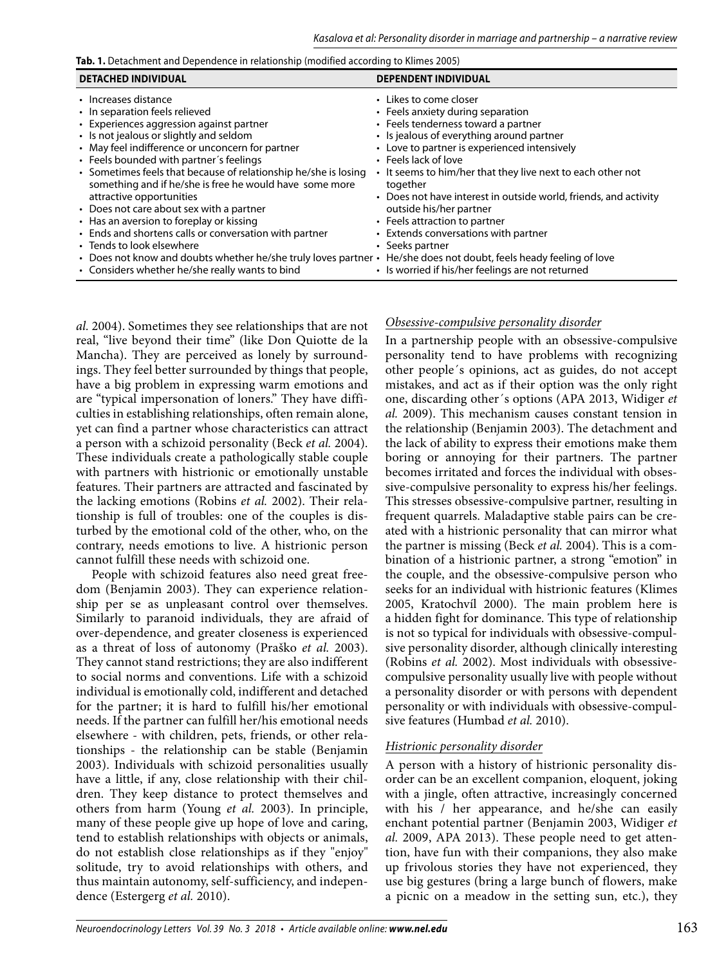Tab. 1. Detachment and Dependence in relationship (modified according to Klimes 2005)

| <b>DETACHED INDIVIDUAL</b>                                                                                                                                                                                                                                                                                      | <b>DEPENDENT INDIVIDUAL</b>                                                                                                                                                                                                                                                            |
|-----------------------------------------------------------------------------------------------------------------------------------------------------------------------------------------------------------------------------------------------------------------------------------------------------------------|----------------------------------------------------------------------------------------------------------------------------------------------------------------------------------------------------------------------------------------------------------------------------------------|
| • Increases distance<br>• In separation feels relieved<br>• Experiences aggression against partner<br>• Is not jealous or slightly and seldom<br>• May feel indifference or unconcern for partner<br>• Feels bounded with partner's feelings<br>• Sometimes feels that because of relationship he/she is losing | • Likes to come closer<br>• Feels anxiety during separation<br>• Feels tenderness toward a partner<br>• Is jealous of everything around partner<br>• Love to partner is experienced intensively<br>• Feels lack of love<br>• It seems to him/her that they live next to each other not |
| something and if he/she is free he would have some more<br>attractive opportunities<br>• Does not care about sex with a partner                                                                                                                                                                                 | together<br>• Does not have interest in outside world, friends, and activity<br>outside his/her partner                                                                                                                                                                                |
| • Has an aversion to foreplay or kissing                                                                                                                                                                                                                                                                        | • Feels attraction to partner                                                                                                                                                                                                                                                          |
| • Ends and shortens calls or conversation with partner                                                                                                                                                                                                                                                          | • Extends conversations with partner                                                                                                                                                                                                                                                   |
| • Tends to look elsewhere                                                                                                                                                                                                                                                                                       | • Seeks partner                                                                                                                                                                                                                                                                        |
| • Does not know and doubts whether he/she truly loves partner •                                                                                                                                                                                                                                                 | He/she does not doubt, feels heady feeling of love                                                                                                                                                                                                                                     |
| • Considers whether he/she really wants to bind                                                                                                                                                                                                                                                                 | • Is worried if his/her feelings are not returned                                                                                                                                                                                                                                      |

*al.* 2004). Sometimes they see relationships that are not real, "live beyond their time" (like Don Quiotte de la Mancha). They are perceived as lonely by surroundings. They feel better surrounded by things that people, have a big problem in expressing warm emotions and are "typical impersonation of loners." They have difficulties in establishing relationships, often remain alone, yet can find a partner whose characteristics can attract a person with a schizoid personality (Beck *et al.* 2004). These individuals create a pathologically stable couple with partners with histrionic or emotionally unstable features. Their partners are attracted and fascinated by the lacking emotions (Robins *et al.* 2002). Their relationship is full of troubles: one of the couples is disturbed by the emotional cold of the other, who, on the contrary, needs emotions to live. A histrionic person cannot fulfill these needs with schizoid one.

People with schizoid features also need great freedom (Benjamin 2003). They can experience relationship per se as unpleasant control over themselves. Similarly to paranoid individuals, they are afraid of over-dependence, and greater closeness is experienced as a threat of loss of autonomy (Praško *et al.* 2003). They cannot stand restrictions; they are also indifferent to social norms and conventions. Life with a schizoid individual is emotionally cold, indifferent and detached for the partner; it is hard to fulfill his/her emotional needs. If the partner can fulfill her/his emotional needs elsewhere - with children, pets, friends, or other relationships - the relationship can be stable (Benjamin 2003). Individuals with schizoid personalities usually have a little, if any, close relationship with their children. They keep distance to protect themselves and others from harm (Young *et al.* 2003). In principle, many of these people give up hope of love and caring, tend to establish relationships with objects or animals, do not establish close relationships as if they "enjoy" solitude, try to avoid relationships with others, and thus maintain autonomy, self-sufficiency, and independence (Estergerg *et al.* 2010).

#### *Obsessive-compulsive personality disorder*

In a partnership people with an obsessive-compulsive personality tend to have problems with recognizing other people´s opinions, act as guides, do not accept mistakes, and act as if their option was the only right one, discarding other´s options (APA 2013, Widiger *et al.* 2009). This mechanism causes constant tension in the relationship (Benjamin 2003). The detachment and the lack of ability to express their emotions make them boring or annoying for their partners. The partner becomes irritated and forces the individual with obsessive-compulsive personality to express his/her feelings. This stresses obsessive-compulsive partner, resulting in frequent quarrels. Maladaptive stable pairs can be created with a histrionic personality that can mirror what the partner is missing (Beck *et al.* 2004). This is a combination of a histrionic partner, a strong "emotion" in the couple, and the obsessive-compulsive person who seeks for an individual with histrionic features (Klimes 2005, Kratochvíl 2000). The main problem here is a hidden fight for dominance. This type of relationship is not so typical for individuals with obsessive-compulsive personality disorder, although clinically interesting (Robins *et al.* 2002). Most individuals with obsessivecompulsive personality usually live with people without a personality disorder or with persons with dependent personality or with individuals with obsessive-compulsive features (Humbad *et al.* 2010).

#### *Histrionic personality disorder*

A person with a history of histrionic personality disorder can be an excellent companion, eloquent, joking with a jingle, often attractive, increasingly concerned with his / her appearance, and he/she can easily enchant potential partner (Benjamin 2003, Widiger *et al.* 2009, APA 2013). These people need to get attention, have fun with their companions, they also make up frivolous stories they have not experienced, they use big gestures (bring a large bunch of flowers, make a picnic on a meadow in the setting sun, etc.), they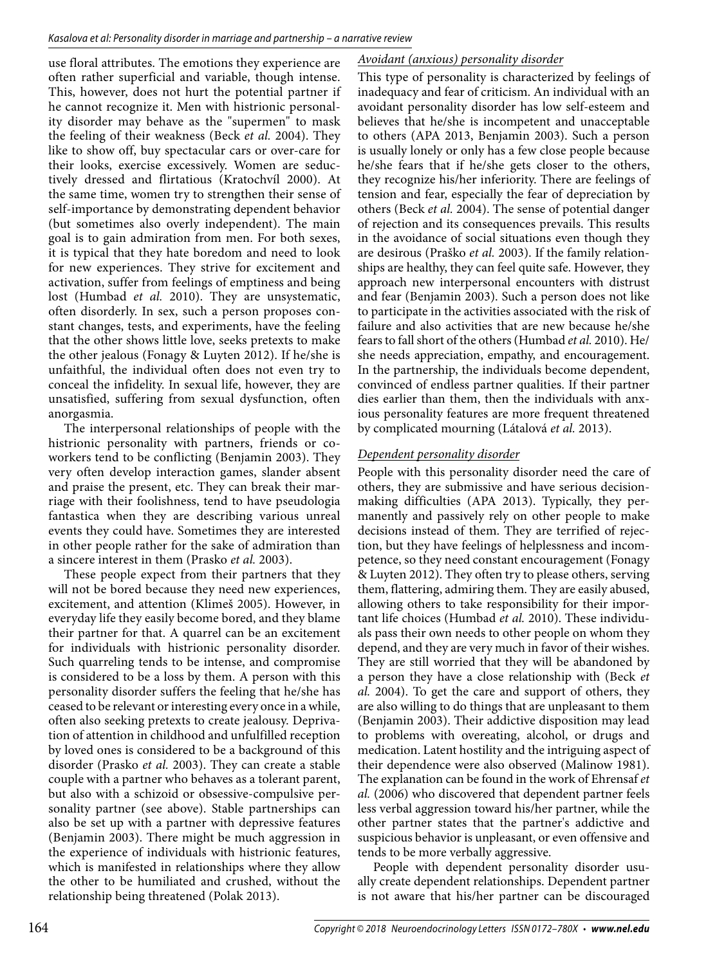use floral attributes. The emotions they experience are often rather superficial and variable, though intense. This, however, does not hurt the potential partner if he cannot recognize it. Men with histrionic personality disorder may behave as the "supermen" to mask the feeling of their weakness (Beck *et al.* 2004). They like to show off, buy spectacular cars or over-care for their looks, exercise excessively. Women are seductively dressed and flirtatious (Kratochvíl 2000). At the same time, women try to strengthen their sense of self-importance by demonstrating dependent behavior (but sometimes also overly independent). The main goal is to gain admiration from men. For both sexes, it is typical that they hate boredom and need to look for new experiences. They strive for excitement and activation, suffer from feelings of emptiness and being lost (Humbad *et al.* 2010). They are unsystematic, often disorderly. In sex, such a person proposes constant changes, tests, and experiments, have the feeling that the other shows little love, seeks pretexts to make the other jealous (Fonagy & Luyten 2012). If he/she is unfaithful, the individual often does not even try to conceal the infidelity. In sexual life, however, they are unsatisfied, suffering from sexual dysfunction, often anorgasmia.

The interpersonal relationships of people with the histrionic personality with partners, friends or coworkers tend to be conflicting (Benjamin 2003). They very often develop interaction games, slander absent and praise the present, etc. They can break their marriage with their foolishness, tend to have pseudologia fantastica when they are describing various unreal events they could have. Sometimes they are interested in other people rather for the sake of admiration than a sincere interest in them (Prasko *et al.* 2003).

These people expect from their partners that they will not be bored because they need new experiences, excitement, and attention (Klimeš 2005). However, in everyday life they easily become bored, and they blame their partner for that. A quarrel can be an excitement for individuals with histrionic personality disorder. Such quarreling tends to be intense, and compromise is considered to be a loss by them. A person with this personality disorder suffers the feeling that he/she has ceased to be relevant or interesting every once in a while, often also seeking pretexts to create jealousy. Deprivation of attention in childhood and unfulfilled reception by loved ones is considered to be a background of this disorder (Prasko *et al.* 2003). They can create a stable couple with a partner who behaves as a tolerant parent, but also with a schizoid or obsessive-compulsive personality partner (see above). Stable partnerships can also be set up with a partner with depressive features (Benjamin 2003). There might be much aggression in the experience of individuals with histrionic features, which is manifested in relationships where they allow the other to be humiliated and crushed, without the relationship being threatened (Polak 2013).

# *Avoidant (anxious) personality disorder*

This type of personality is characterized by feelings of inadequacy and fear of criticism. An individual with an avoidant personality disorder has low self-esteem and believes that he/she is incompetent and unacceptable to others (APA 2013, Benjamin 2003). Such a person is usually lonely or only has a few close people because he/she fears that if he/she gets closer to the others, they recognize his/her inferiority. There are feelings of tension and fear, especially the fear of depreciation by others (Beck *et al.* 2004). The sense of potential danger of rejection and its consequences prevails. This results in the avoidance of social situations even though they are desirous (Praško *et al.* 2003). If the family relationships are healthy, they can feel quite safe. However, they approach new interpersonal encounters with distrust and fear (Benjamin 2003). Such a person does not like to participate in the activities associated with the risk of failure and also activities that are new because he/she fears to fall short of the others (Humbad *et al.* 2010). He/ she needs appreciation, empathy, and encouragement. In the partnership, the individuals become dependent, convinced of endless partner qualities. If their partner dies earlier than them, then the individuals with anxious personality features are more frequent threatened by complicated mourning (Látalová *et al.* 2013).

## *Dependent personality disorder*

People with this personality disorder need the care of others, they are submissive and have serious decisionmaking difficulties (APA 2013). Typically, they permanently and passively rely on other people to make decisions instead of them. They are terrified of rejection, but they have feelings of helplessness and incompetence, so they need constant encouragement (Fonagy & Luyten 2012). They often try to please others, serving them, flattering, admiring them. They are easily abused, allowing others to take responsibility for their important life choices (Humbad *et al.* 2010). These individuals pass their own needs to other people on whom they depend, and they are very much in favor of their wishes. They are still worried that they will be abandoned by a person they have a close relationship with (Beck *et al.* 2004). To get the care and support of others, they are also willing to do things that are unpleasant to them (Benjamin 2003). Their addictive disposition may lead to problems with overeating, alcohol, or drugs and medication. Latent hostility and the intriguing aspect of their dependence were also observed (Malinow 1981). The explanation can be found in the work of Ehrensaf *et al.* (2006) who discovered that dependent partner feels less verbal aggression toward his/her partner, while the other partner states that the partner's addictive and suspicious behavior is unpleasant, or even offensive and tends to be more verbally aggressive.

People with dependent personality disorder usually create dependent relationships. Dependent partner is not aware that his/her partner can be discouraged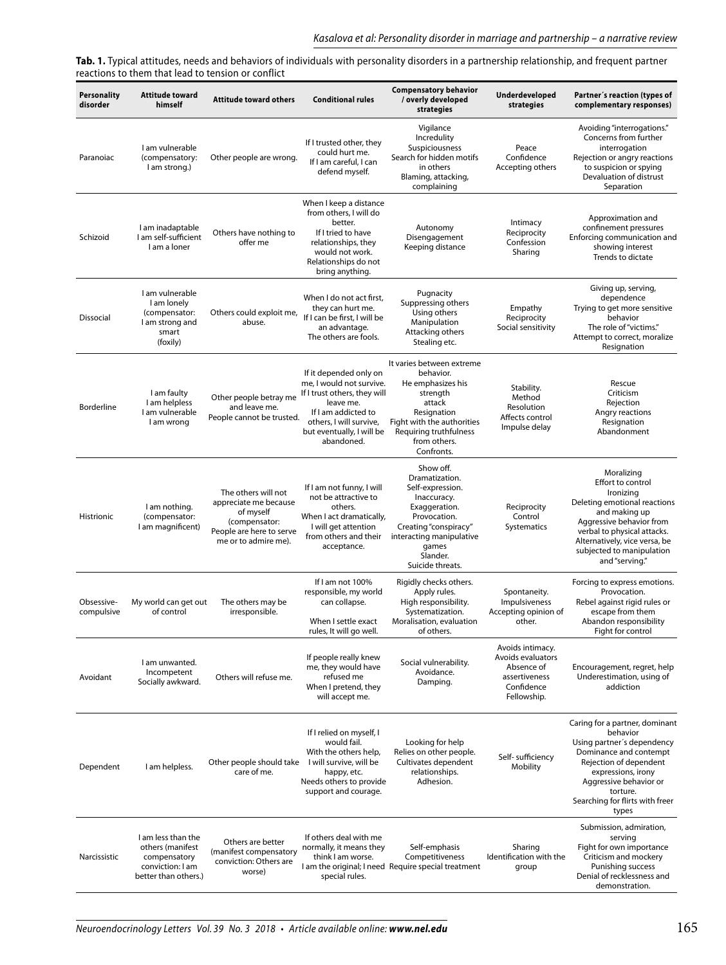**Tab. 1.** Typical attitudes, needs and behaviors of individuals with personality disorders in a partnership relationship, and frequent partner reactions to them that lead to tension or conflict

| <b>Personality</b><br>disorder | <b>Attitude toward</b><br>himself                                                                  | <b>Attitude toward others</b>                                                                                                  | <b>Conditional rules</b>                                                                                                                                                                     | <b>Compensatory behavior</b><br>/ overly developed<br>strategies                                                                                                                              | Underdeveloped<br>strategies                                                                      | Partner's reaction (types of<br>complementary responses)                                                                                                                                                                                 |
|--------------------------------|----------------------------------------------------------------------------------------------------|--------------------------------------------------------------------------------------------------------------------------------|----------------------------------------------------------------------------------------------------------------------------------------------------------------------------------------------|-----------------------------------------------------------------------------------------------------------------------------------------------------------------------------------------------|---------------------------------------------------------------------------------------------------|------------------------------------------------------------------------------------------------------------------------------------------------------------------------------------------------------------------------------------------|
| Paranoiac                      | I am vulnerable<br>(compensatory:<br>I am strong.)                                                 | Other people are wrong.                                                                                                        | If I trusted other, they<br>could hurt me.<br>If I am careful, I can<br>defend myself.                                                                                                       | Vigilance<br>Incredulity<br>Suspiciousness<br>Search for hidden motifs<br>in others<br>Blaming, attacking,<br>complaining                                                                     | Peace<br>Confidence<br>Accepting others                                                           | Avoiding "interrogations."<br>Concerns from further<br>interrogation<br>Rejection or angry reactions<br>to suspicion or spying<br>Devaluation of distrust<br>Separation                                                                  |
| Schizoid                       | I am inadaptable<br>I am self-sufficient<br>I am a loner                                           | Others have nothing to<br>offer me                                                                                             | When I keep a distance<br>from others, I will do<br>better.<br>If I tried to have<br>relationships, they<br>would not work.<br>Relationships do not<br>bring anything.                       | Autonomy<br>Disengagement<br>Keeping distance                                                                                                                                                 | Intimacy<br>Reciprocity<br>Confession<br>Sharing                                                  | Approximation and<br>confinement pressures<br>Enforcing communication and<br>showing interest<br>Trends to dictate                                                                                                                       |
| <b>Dissocial</b>               | I am vulnerable<br>I am lonely<br>(compensator:<br>I am strong and<br>smart<br>(foxily)            | Others could exploit me,<br>abuse.                                                                                             | When I do not act first,<br>they can hurt me.<br>If I can be first, I will be<br>an advantage.<br>The others are fools.                                                                      | Pugnacity<br>Suppressing others<br>Using others<br>Manipulation<br>Attacking others<br>Stealing etc.                                                                                          | Empathy<br>Reciprocity<br>Social sensitivity                                                      | Giving up, serving,<br>dependence<br>Trying to get more sensitive<br>behavior<br>The role of "victims."<br>Attempt to correct, moralize<br>Resignation                                                                                   |
| Borderline                     | I am faulty<br>I am helpless<br>I am vulnerable<br>I am wrong                                      | Other people betray me<br>and leave me.<br>People cannot be trusted.                                                           | If it depended only on<br>me, I would not survive.<br>If I trust others, they will<br>leave me.<br>If I am addicted to<br>others, I will survive,<br>but eventually, I will be<br>abandoned. | It varies between extreme<br>behavior.<br>He emphasizes his<br>strength<br>attack<br>Resignation<br>Fight with the authorities<br>Requiring truthfulness<br>from others.<br>Confronts.        | Stability.<br>Method<br>Resolution<br>Affects control<br>Impulse delay                            | Rescue<br>Criticism<br>Rejection<br>Angry reactions<br>Resignation<br>Abandonment                                                                                                                                                        |
| Histrionic                     | I am nothing.<br>(compensator:<br>I am magnificent)                                                | The others will not<br>appreciate me because<br>of myself<br>(compensator:<br>People are here to serve<br>me or to admire me). | If I am not funny, I will<br>not be attractive to<br>others.<br>When I act dramatically,<br>I will get attention<br>from others and their<br>acceptance.                                     | Show off.<br>Dramatization.<br>Self-expression.<br>Inaccuracy.<br>Exaggeration.<br>Provocation.<br>Creating "conspiracy"<br>interacting manipulative<br>games<br>Slander.<br>Suicide threats. | Reciprocity<br>Control<br>Systematics                                                             | Moralizing<br>Effort to control<br>Ironizing<br>Deleting emotional reactions<br>and making up<br>Aggressive behavior from<br>verbal to physical attacks.<br>Alternatively, vice versa, be<br>subjected to manipulation<br>and "serving." |
| Obsessive-<br>compulsive       | My world can get out<br>of control                                                                 | The others may be<br>irresponsible.                                                                                            | If I am not 100%<br>responsible, my world<br>can collapse.<br>When I settle exact<br>rules, It will go well.                                                                                 | Rigidly checks others.<br>Apply rules.<br>High responsibility.<br>Systematization.<br>Moralisation, evaluation<br>of others.                                                                  | Spontaneity.<br>Impulsiveness<br>Accepting opinion of<br>other.                                   | Forcing to express emotions.<br>Provocation.<br>Rebel against rigid rules or<br>escape from them<br>Abandon responsibility<br>Fight for control                                                                                          |
| Avoidant                       | I am unwanted.<br>Incompetent<br>Socially awkward.                                                 | Others will refuse me.                                                                                                         | If people really knew<br>me, they would have<br>refused me<br>When I pretend, they<br>will accept me.                                                                                        | Social vulnerability.<br>Avoidance.<br>Damping.                                                                                                                                               | Avoids intimacy.<br>Avoids evaluators<br>Absence of<br>assertiveness<br>Confidence<br>Fellowship. | Encouragement, regret, help<br>Underestimation, using of<br>addiction                                                                                                                                                                    |
| Dependent                      | I am helpless.                                                                                     | Other people should take<br>care of me.                                                                                        | If I relied on myself, I<br>would fail.<br>With the others help,<br>I will survive, will be<br>happy, etc.<br>Needs others to provide<br>support and courage.                                | Looking for help<br>Relies on other people.<br>Cultivates dependent<br>relationships.<br>Adhesion.                                                                                            | Self- sufficiency<br>Mobility                                                                     | Caring for a partner, dominant<br>behavior<br>Using partner's dependency<br>Dominance and contempt<br>Rejection of dependent<br>expressions, irony<br>Aggressive behavior or<br>torture.<br>Searching for flirts with freer<br>types     |
| Narcissistic                   | I am less than the<br>others (manifest<br>compensatory<br>conviction: I am<br>better than others.) | Others are better<br>(manifest compensatory<br>conviction: Others are<br>worse)                                                | If others deal with me<br>normally, it means they<br>think I am worse.<br>special rules.                                                                                                     | Self-emphasis<br>Competitiveness<br>I am the original; I need Require special treatment                                                                                                       | Sharing<br>Identification with the<br>group                                                       | Submission, admiration,<br>serving<br>Fight for own importance<br>Criticism and mockery<br>Punishing success<br>Denial of recklessness and<br>demonstration.                                                                             |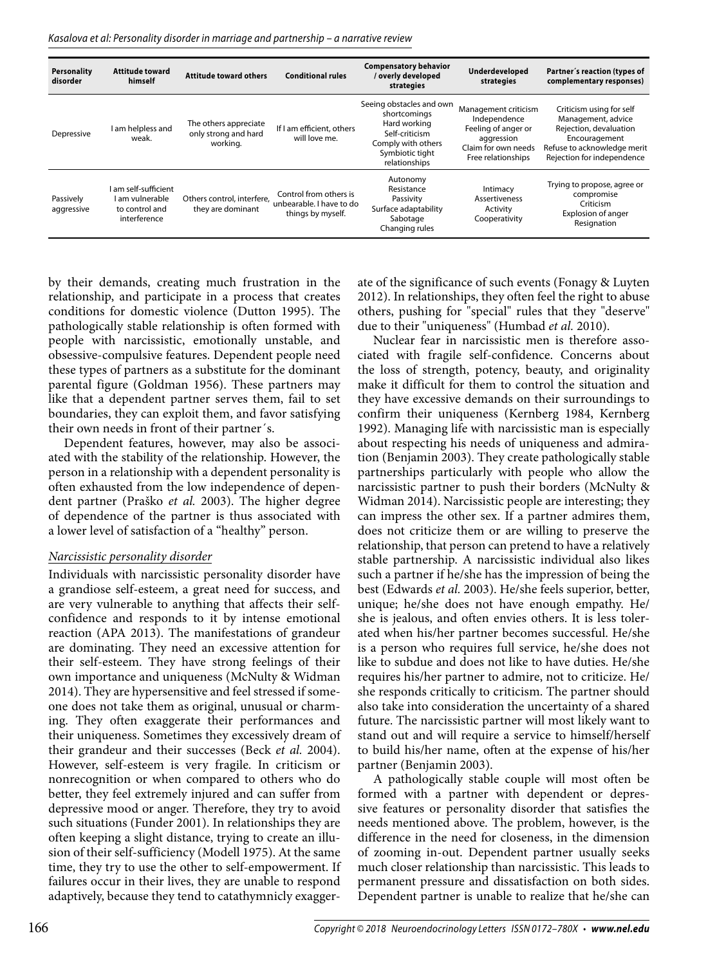Kasalova et al: Personality disorder in marriage and partnership – a narrative review

| <b>Personality</b><br>disorder | <b>Attitude toward</b><br>himself                                       | <b>Attitude toward others</b>                             | <b>Conditional rules</b>                                                | <b>Compensatory behavior</b><br>/overly developed<br>strategies                                                                      | Underdeveloped<br>strategies                                                                                           | Partner's reaction (types of<br>complementary responses)                                                                                               |
|--------------------------------|-------------------------------------------------------------------------|-----------------------------------------------------------|-------------------------------------------------------------------------|--------------------------------------------------------------------------------------------------------------------------------------|------------------------------------------------------------------------------------------------------------------------|--------------------------------------------------------------------------------------------------------------------------------------------------------|
| Depressive                     | I am helpless and<br>weak.                                              | The others appreciate<br>only strong and hard<br>working. | If I am efficient, others<br>will love me.                              | Seeing obstacles and own<br>shortcomings<br>Hard working<br>Self-criticism<br>Comply with others<br>Symbiotic tight<br>relationships | Management criticism<br>Independence<br>Feeling of anger or<br>aggression<br>Claim for own needs<br>Free relationships | Criticism using for self<br>Management, advice<br>Rejection, devaluation<br>Encouragement<br>Refuse to acknowledge merit<br>Rejection for independence |
| Passively<br>aggressive        | am self-sufficient<br>l am vulnerable<br>to control and<br>interference | Others control, interfere,<br>they are dominant           | Control from others is<br>unbearable. I have to do<br>things by myself. | Autonomy<br>Resistance<br>Passivity<br>Surface adaptability<br>Sabotage<br>Changing rules                                            | Intimacy<br><b>Assertiveness</b><br>Activity<br>Cooperativity                                                          | Trying to propose, agree or<br>compromise<br>Criticism<br>Explosion of anger<br>Resignation                                                            |

by their demands, creating much frustration in the relationship, and participate in a process that creates conditions for domestic violence (Dutton 1995). The pathologically stable relationship is often formed with people with narcissistic, emotionally unstable, and obsessive-compulsive features. Dependent people need these types of partners as a substitute for the dominant parental figure (Goldman 1956). These partners may like that a dependent partner serves them, fail to set boundaries, they can exploit them, and favor satisfying their own needs in front of their partner´s.

Dependent features, however, may also be associated with the stability of the relationship. However, the person in a relationship with a dependent personality is often exhausted from the low independence of dependent partner (Praško *et al.* 2003). The higher degree of dependence of the partner is thus associated with a lower level of satisfaction of a "healthy" person.

#### *Narcissistic personality disorder*

Individuals with narcissistic personality disorder have a grandiose self-esteem, a great need for success, and are very vulnerable to anything that affects their selfconfidence and responds to it by intense emotional reaction (APA 2013). The manifestations of grandeur are dominating. They need an excessive attention for their self-esteem. They have strong feelings of their own importance and uniqueness (McNulty & Widman 2014). They are hypersensitive and feel stressed if someone does not take them as original, unusual or charming. They often exaggerate their performances and their uniqueness. Sometimes they excessively dream of their grandeur and their successes (Beck *et al.* 2004). However, self-esteem is very fragile. In criticism or nonrecognition or when compared to others who do better, they feel extremely injured and can suffer from depressive mood or anger. Therefore, they try to avoid such situations (Funder 2001). In relationships they are often keeping a slight distance, trying to create an illusion of their self-sufficiency (Modell 1975). At the same time, they try to use the other to self-empowerment. If failures occur in their lives, they are unable to respond adaptively, because they tend to catathymnicly exaggerate of the significance of such events (Fonagy & Luyten 2012). In relationships, they often feel the right to abuse others, pushing for "special" rules that they "deserve" due to their "uniqueness" (Humbad *et al.* 2010).

Nuclear fear in narcissistic men is therefore associated with fragile self-confidence. Concerns about the loss of strength, potency, beauty, and originality make it difficult for them to control the situation and they have excessive demands on their surroundings to confirm their uniqueness (Kernberg 1984, Kernberg 1992). Managing life with narcissistic man is especially about respecting his needs of uniqueness and admiration (Benjamin 2003). They create pathologically stable partnerships particularly with people who allow the narcissistic partner to push their borders (McNulty & Widman 2014). Narcissistic people are interesting; they can impress the other sex. If a partner admires them, does not criticize them or are willing to preserve the relationship, that person can pretend to have a relatively stable partnership. A narcissistic individual also likes such a partner if he/she has the impression of being the best (Edwards *et al.* 2003). He/she feels superior, better, unique; he/she does not have enough empathy. He/ she is jealous, and often envies others. It is less tolerated when his/her partner becomes successful. He/she is a person who requires full service, he/she does not like to subdue and does not like to have duties. He/she requires his/her partner to admire, not to criticize. He/ she responds critically to criticism. The partner should also take into consideration the uncertainty of a shared future. The narcissistic partner will most likely want to stand out and will require a service to himself/herself to build his/her name, often at the expense of his/her partner (Benjamin 2003).

A pathologically stable couple will most often be formed with a partner with dependent or depressive features or personality disorder that satisfies the needs mentioned above. The problem, however, is the difference in the need for closeness, in the dimension of zooming in-out. Dependent partner usually seeks much closer relationship than narcissistic. This leads to permanent pressure and dissatisfaction on both sides. Dependent partner is unable to realize that he/she can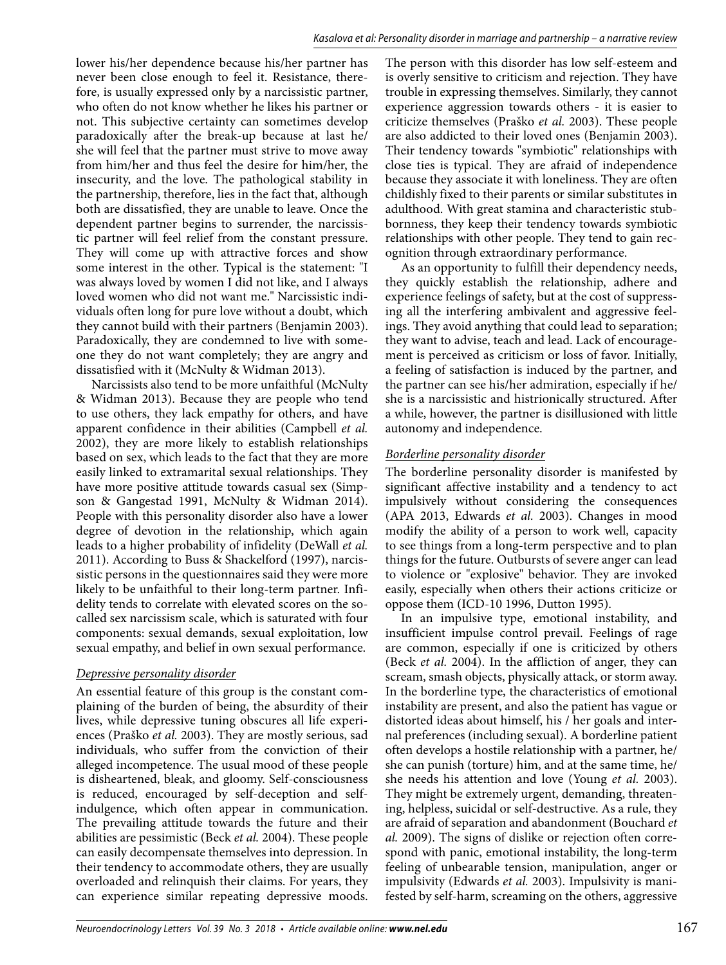lower his/her dependence because his/her partner has never been close enough to feel it. Resistance, therefore, is usually expressed only by a narcissistic partner, who often do not know whether he likes his partner or not. This subjective certainty can sometimes develop paradoxically after the break-up because at last he/ she will feel that the partner must strive to move away from him/her and thus feel the desire for him/her, the insecurity, and the love. The pathological stability in the partnership, therefore, lies in the fact that, although both are dissatisfied, they are unable to leave. Once the dependent partner begins to surrender, the narcissistic partner will feel relief from the constant pressure. They will come up with attractive forces and show some interest in the other. Typical is the statement: "I was always loved by women I did not like, and I always loved women who did not want me." Narcissistic individuals often long for pure love without a doubt, which they cannot build with their partners (Benjamin 2003). Paradoxically, they are condemned to live with someone they do not want completely; they are angry and dissatisfied with it (McNulty & Widman 2013).

Narcissists also tend to be more unfaithful (McNulty & Widman 2013). Because they are people who tend to use others, they lack empathy for others, and have apparent confidence in their abilities (Campbell *et al.* 2002), they are more likely to establish relationships based on sex, which leads to the fact that they are more easily linked to extramarital sexual relationships. They have more positive attitude towards casual sex (Simpson & Gangestad 1991, McNulty & Widman 2014). People with this personality disorder also have a lower degree of devotion in the relationship, which again leads to a higher probability of infidelity (DeWall *et al.* 2011). According to Buss & Shackelford (1997), narcissistic persons in the questionnaires said they were more likely to be unfaithful to their long-term partner. Infidelity tends to correlate with elevated scores on the socalled sex narcissism scale, which is saturated with four components: sexual demands, sexual exploitation, low sexual empathy, and belief in own sexual performance.

## *Depressive personality disorder*

An essential feature of this group is the constant complaining of the burden of being, the absurdity of their lives, while depressive tuning obscures all life experiences (Praško *et al.* 2003). They are mostly serious, sad individuals, who suffer from the conviction of their alleged incompetence. The usual mood of these people is disheartened, bleak, and gloomy. Self-consciousness is reduced, encouraged by self-deception and selfindulgence, which often appear in communication. The prevailing attitude towards the future and their abilities are pessimistic (Beck *et al.* 2004). These people can easily decompensate themselves into depression. In their tendency to accommodate others, they are usually overloaded and relinquish their claims. For years, they can experience similar repeating depressive moods.

The person with this disorder has low self-esteem and is overly sensitive to criticism and rejection. They have trouble in expressing themselves. Similarly, they cannot experience aggression towards others - it is easier to criticize themselves (Praško *et al.* 2003). These people are also addicted to their loved ones (Benjamin 2003). Their tendency towards "symbiotic" relationships with close ties is typical. They are afraid of independence because they associate it with loneliness. They are often childishly fixed to their parents or similar substitutes in adulthood. With great stamina and characteristic stubbornness, they keep their tendency towards symbiotic relationships with other people. They tend to gain recognition through extraordinary performance.

As an opportunity to fulfill their dependency needs, they quickly establish the relationship, adhere and experience feelings of safety, but at the cost of suppressing all the interfering ambivalent and aggressive feelings. They avoid anything that could lead to separation; they want to advise, teach and lead. Lack of encouragement is perceived as criticism or loss of favor. Initially, a feeling of satisfaction is induced by the partner, and the partner can see his/her admiration, especially if he/ she is a narcissistic and histrionically structured. After a while, however, the partner is disillusioned with little autonomy and independence.

## *Borderline personality disorder*

The borderline personality disorder is manifested by significant affective instability and a tendency to act impulsively without considering the consequences (APA 2013, Edwards *et al.* 2003). Changes in mood modify the ability of a person to work well, capacity to see things from a long-term perspective and to plan things for the future. Outbursts of severe anger can lead to violence or "explosive" behavior. They are invoked easily, especially when others their actions criticize or oppose them (ICD-10 1996, Dutton 1995).

In an impulsive type, emotional instability, and insufficient impulse control prevail. Feelings of rage are common, especially if one is criticized by others (Beck *et al.* 2004). In the affliction of anger, they can scream, smash objects, physically attack, or storm away. In the borderline type, the characteristics of emotional instability are present, and also the patient has vague or distorted ideas about himself, his / her goals and internal preferences (including sexual). A borderline patient often develops a hostile relationship with a partner, he/ she can punish (torture) him, and at the same time, he/ she needs his attention and love (Young *et al.* 2003). They might be extremely urgent, demanding, threatening, helpless, suicidal or self-destructive. As a rule, they are afraid of separation and abandonment (Bouchard *et al.* 2009). The signs of dislike or rejection often correspond with panic, emotional instability, the long-term feeling of unbearable tension, manipulation, anger or impulsivity (Edwards *et al.* 2003). Impulsivity is manifested by self-harm, screaming on the others, aggressive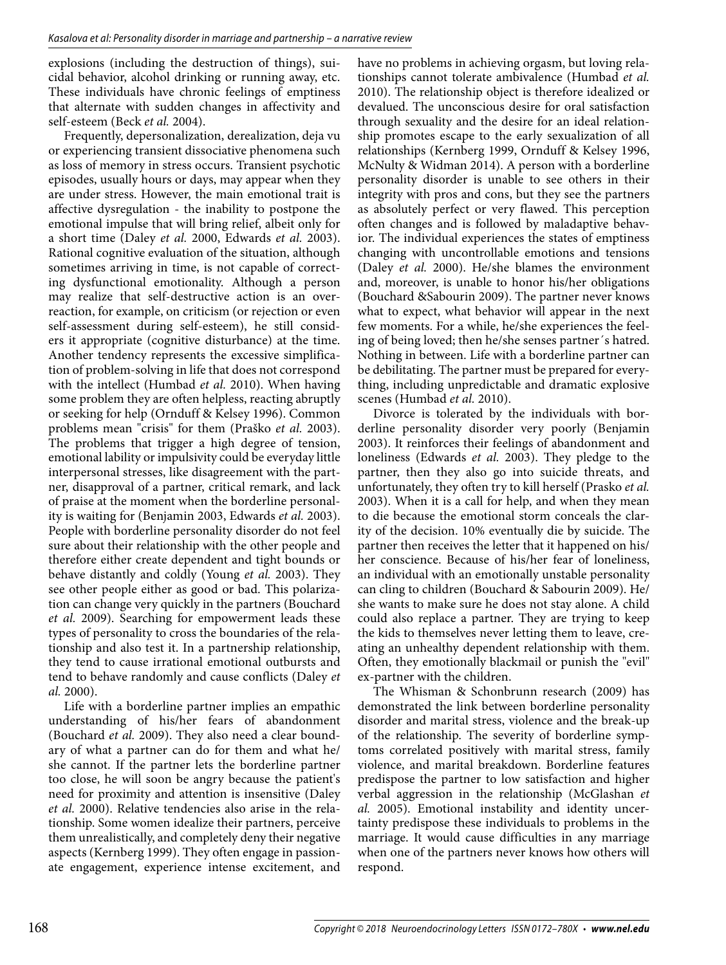explosions (including the destruction of things), suicidal behavior, alcohol drinking or running away, etc. These individuals have chronic feelings of emptiness that alternate with sudden changes in affectivity and self-esteem (Beck *et al.* 2004).

Frequently, depersonalization, derealization, deja vu or experiencing transient dissociative phenomena such as loss of memory in stress occurs. Transient psychotic episodes, usually hours or days, may appear when they are under stress. However, the main emotional trait is affective dysregulation - the inability to postpone the emotional impulse that will bring relief, albeit only for a short time (Daley *et al.* 2000, Edwards *et al.* 2003). Rational cognitive evaluation of the situation, although sometimes arriving in time, is not capable of correcting dysfunctional emotionality. Although a person may realize that self-destructive action is an overreaction, for example, on criticism (or rejection or even self-assessment during self-esteem), he still considers it appropriate (cognitive disturbance) at the time. Another tendency represents the excessive simplification of problem-solving in life that does not correspond with the intellect (Humbad *et al.* 2010). When having some problem they are often helpless, reacting abruptly or seeking for help (Ornduff & Kelsey 1996). Common problems mean "crisis" for them (Praško *et al.* 2003). The problems that trigger a high degree of tension, emotional lability or impulsivity could be everyday little interpersonal stresses, like disagreement with the partner, disapproval of a partner, critical remark, and lack of praise at the moment when the borderline personality is waiting for (Benjamin 2003, Edwards *et al.* 2003). People with borderline personality disorder do not feel sure about their relationship with the other people and therefore either create dependent and tight bounds or behave distantly and coldly (Young *et al.* 2003). They see other people either as good or bad. This polarization can change very quickly in the partners (Bouchard *et al.* 2009). Searching for empowerment leads these types of personality to cross the boundaries of the relationship and also test it. In a partnership relationship, they tend to cause irrational emotional outbursts and tend to behave randomly and cause conflicts (Daley *et al.* 2000).

Life with a borderline partner implies an empathic understanding of his/her fears of abandonment (Bouchard *et al.* 2009). They also need a clear boundary of what a partner can do for them and what he/ she cannot. If the partner lets the borderline partner too close, he will soon be angry because the patient's need for proximity and attention is insensitive (Daley *et al.* 2000). Relative tendencies also arise in the relationship. Some women idealize their partners, perceive them unrealistically, and completely deny their negative aspects (Kernberg 1999). They often engage in passionate engagement, experience intense excitement, and

have no problems in achieving orgasm, but loving relationships cannot tolerate ambivalence (Humbad *et al.* 2010). The relationship object is therefore idealized or devalued. The unconscious desire for oral satisfaction through sexuality and the desire for an ideal relationship promotes escape to the early sexualization of all relationships (Kernberg 1999, Ornduff & Kelsey 1996, McNulty & Widman 2014). A person with a borderline personality disorder is unable to see others in their integrity with pros and cons, but they see the partners as absolutely perfect or very flawed. This perception often changes and is followed by maladaptive behavior. The individual experiences the states of emptiness changing with uncontrollable emotions and tensions (Daley *et al.* 2000). He/she blames the environment and, moreover, is unable to honor his/her obligations (Bouchard &Sabourin 2009). The partner never knows what to expect, what behavior will appear in the next few moments. For a while, he/she experiences the feeling of being loved; then he/she senses partner´s hatred. Nothing in between. Life with a borderline partner can be debilitating. The partner must be prepared for everything, including unpredictable and dramatic explosive scenes (Humbad *et al.* 2010).

Divorce is tolerated by the individuals with borderline personality disorder very poorly (Benjamin 2003). It reinforces their feelings of abandonment and loneliness (Edwards *et al.* 2003). They pledge to the partner, then they also go into suicide threats, and unfortunately, they often try to kill herself (Prasko *et al.* 2003). When it is a call for help, and when they mean to die because the emotional storm conceals the clarity of the decision. 10% eventually die by suicide. The partner then receives the letter that it happened on his/ her conscience. Because of his/her fear of loneliness, an individual with an emotionally unstable personality can cling to children (Bouchard & Sabourin 2009). He/ she wants to make sure he does not stay alone. A child could also replace a partner. They are trying to keep the kids to themselves never letting them to leave, creating an unhealthy dependent relationship with them. Often, they emotionally blackmail or punish the "evil" ex-partner with the children.

The Whisman & Schonbrunn research (2009) has demonstrated the link between borderline personality disorder and marital stress, violence and the break-up of the relationship. The severity of borderline symptoms correlated positively with marital stress, family violence, and marital breakdown. Borderline features predispose the partner to low satisfaction and higher verbal aggression in the relationship (McGlashan *et al.* 2005). Emotional instability and identity uncertainty predispose these individuals to problems in the marriage. It would cause difficulties in any marriage when one of the partners never knows how others will respond.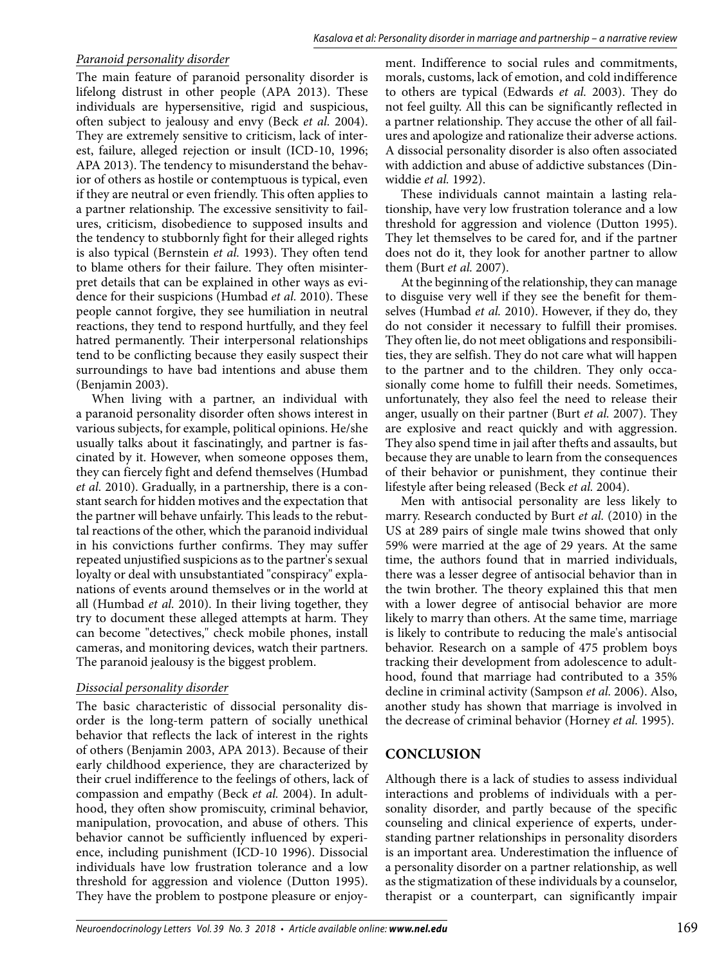# *Paranoid personality disorder*

The main feature of paranoid personality disorder is lifelong distrust in other people (APA 2013). These individuals are hypersensitive, rigid and suspicious, often subject to jealousy and envy (Beck *et al.* 2004). They are extremely sensitive to criticism, lack of interest, failure, alleged rejection or insult (ICD-10, 1996; APA 2013). The tendency to misunderstand the behavior of others as hostile or contemptuous is typical, even if they are neutral or even friendly. This often applies to a partner relationship. The excessive sensitivity to failures, criticism, disobedience to supposed insults and the tendency to stubbornly fight for their alleged rights is also typical (Bernstein *et al.* 1993). They often tend to blame others for their failure. They often misinterpret details that can be explained in other ways as evidence for their suspicions (Humbad *et al.* 2010). These people cannot forgive, they see humiliation in neutral reactions, they tend to respond hurtfully, and they feel hatred permanently. Their interpersonal relationships tend to be conflicting because they easily suspect their surroundings to have bad intentions and abuse them (Benjamin 2003).

When living with a partner, an individual with a paranoid personality disorder often shows interest in various subjects, for example, political opinions. He/she usually talks about it fascinatingly, and partner is fascinated by it. However, when someone opposes them, they can fiercely fight and defend themselves (Humbad *et al.* 2010). Gradually, in a partnership, there is a constant search for hidden motives and the expectation that the partner will behave unfairly. This leads to the rebuttal reactions of the other, which the paranoid individual in his convictions further confirms. They may suffer repeated unjustified suspicions as to the partner's sexual loyalty or deal with unsubstantiated "conspiracy" explanations of events around themselves or in the world at all (Humbad *et al.* 2010). In their living together, they try to document these alleged attempts at harm. They can become "detectives," check mobile phones, install cameras, and monitoring devices, watch their partners. The paranoid jealousy is the biggest problem.

## *Dissocial personality disorder*

The basic characteristic of dissocial personality disorder is the long-term pattern of socially unethical behavior that reflects the lack of interest in the rights of others (Benjamin 2003, APA 2013). Because of their early childhood experience, they are characterized by their cruel indifference to the feelings of others, lack of compassion and empathy (Beck *et al.* 2004). In adulthood, they often show promiscuity, criminal behavior, manipulation, provocation, and abuse of others. This behavior cannot be sufficiently influenced by experience, including punishment (ICD-10 1996). Dissocial individuals have low frustration tolerance and a low threshold for aggression and violence (Dutton 1995). They have the problem to postpone pleasure or enjoyment. Indifference to social rules and commitments, morals, customs, lack of emotion, and cold indifference to others are typical (Edwards *et al.* 2003). They do not feel guilty. All this can be significantly reflected in a partner relationship. They accuse the other of all failures and apologize and rationalize their adverse actions. A dissocial personality disorder is also often associated with addiction and abuse of addictive substances (Dinwiddie *et al.* 1992).

These individuals cannot maintain a lasting relationship, have very low frustration tolerance and a low threshold for aggression and violence (Dutton 1995). They let themselves to be cared for, and if the partner does not do it, they look for another partner to allow them (Burt *et al.* 2007).

At the beginning of the relationship, they can manage to disguise very well if they see the benefit for themselves (Humbad *et al.* 2010). However, if they do, they do not consider it necessary to fulfill their promises. They often lie, do not meet obligations and responsibilities, they are selfish. They do not care what will happen to the partner and to the children. They only occasionally come home to fulfill their needs. Sometimes, unfortunately, they also feel the need to release their anger, usually on their partner (Burt *et al.* 2007). They are explosive and react quickly and with aggression. They also spend time in jail after thefts and assaults, but because they are unable to learn from the consequences of their behavior or punishment, they continue their lifestyle after being released (Beck *et al.* 2004).

Men with antisocial personality are less likely to marry. Research conducted by Burt *et al.* (2010) in the US at 289 pairs of single male twins showed that only 59% were married at the age of 29 years. At the same time, the authors found that in married individuals, there was a lesser degree of antisocial behavior than in the twin brother. The theory explained this that men with a lower degree of antisocial behavior are more likely to marry than others. At the same time, marriage is likely to contribute to reducing the male's antisocial behavior. Research on a sample of 475 problem boys tracking their development from adolescence to adulthood, found that marriage had contributed to a 35% decline in criminal activity (Sampson *et al.* 2006). Also, another study has shown that marriage is involved in the decrease of criminal behavior (Horney *et al.* 1995).

# **CONCLUSION**

Although there is a lack of studies to assess individual interactions and problems of individuals with a personality disorder, and partly because of the specific counseling and clinical experience of experts, understanding partner relationships in personality disorders is an important area. Underestimation the influence of a personality disorder on a partner relationship, as well as the stigmatization of these individuals by a counselor, therapist or a counterpart, can significantly impair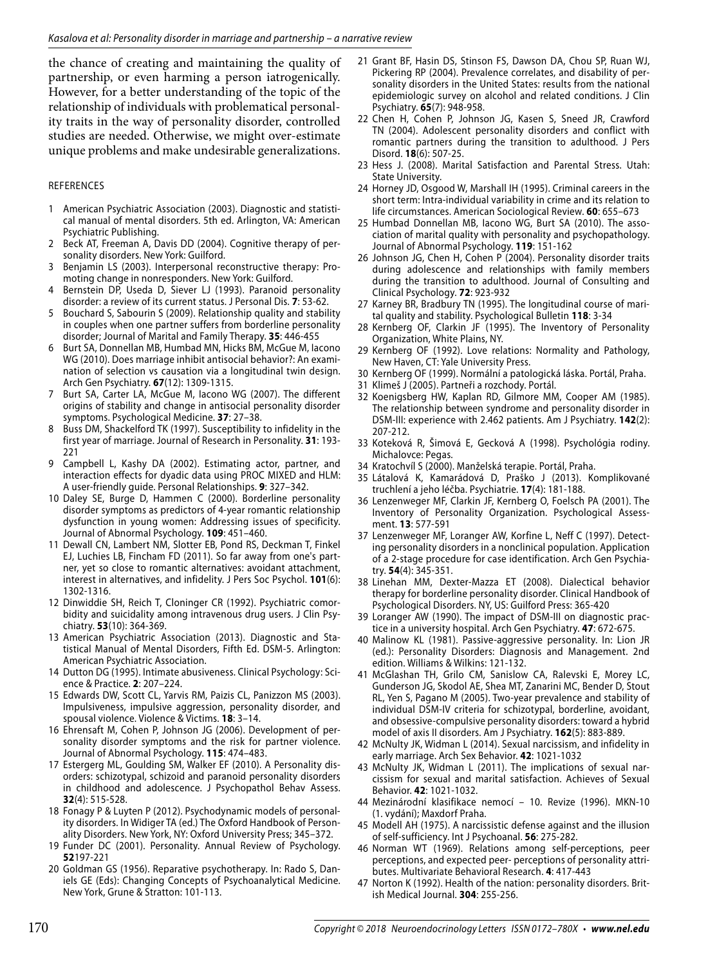the chance of creating and maintaining the quality of partnership, or even harming a person iatrogenically. However, for a better understanding of the topic of the relationship of individuals with problematical personality traits in the way of personality disorder, controlled studies are needed. Otherwise, we might over-estimate unique problems and make undesirable generalizations.

#### REFERENCES

- 1 American Psychiatric Association (2003). Diagnostic and statistical manual of mental disorders. 5th ed. Arlington, VA: American Psychiatric Publishing.
- 2 Beck AT, Freeman A, Davis DD (2004). Cognitive therapy of personality disorders. New York: Guilford.
- 3 Benjamin LS (2003). Interpersonal reconstructive therapy: Promoting change in nonresponders. New York: Guilford.
- Bernstein DP, Useda D, Siever LJ (1993). Paranoid personality disorder: a review of its current status. J Personal Dis. **7**: 53-62.
- 5 Bouchard S, Sabourin S (2009). Relationship quality and stability in couples when one partner suffers from borderline personality disorder; Journal of Marital and Family Therapy. **35**: 446-455
- 6 Burt SA, Donnellan MB, Humbad MN, Hicks BM, McGue M, Iacono WG (2010). Does marriage inhibit antisocial behavior?: An examination of selection vs causation via a longitudinal twin design. Arch Gen Psychiatry. **67**(12): 1309-1315.
- 7 Burt SA, Carter LA, McGue M, Iacono WG (2007). The different origins of stability and change in antisocial personality disorder symptoms. Psychological Medicine. **37**: 27–38.
- 8 Buss DM, Shackelford TK (1997). Susceptibility to infidelity in the first year of marriage. Journal of Research in Personality. **31**: 193- 221
- 9 Campbell L, Kashy DA (2002). Estimating actor, partner, and interaction effects for dyadic data using PROC MIXED and HLM: A user-friendly guide. Personal Relationships. **9**: 327–342.
- 10 Daley SE, Burge D, Hammen C (2000). Borderline personality disorder symptoms as predictors of 4-year romantic relationship dysfunction in young women: Addressing issues of specificity. Journal of Abnormal Psychology. **109**: 451–460.
- 11 Dewall CN, Lambert NM, Slotter EB, Pond RS, Deckman T, Finkel EJ, Luchies LB, Fincham FD (2011). So far away from one's partner, yet so close to romantic alternatives: avoidant attachment, interest in alternatives, and infidelity. J Pers Soc Psychol. **101**(6): 1302-1316.
- 12 Dinwiddie SH, Reich T, Cloninger CR (1992). Psychiatric comorbidity and suicidality among intravenous drug users. J Clin Psychiatry. **53**(10): 364-369.
- 13 American Psychiatric Association (2013). Diagnostic and Statistical Manual of Mental Disorders, Fifth Ed. DSM-5. Arlington: American Psychiatric Association.
- 14 Dutton DG (1995). Intimate abusiveness. Clinical Psychology: Science & Practice. **2**: 207–224.
- 15 Edwards DW, Scott CL, Yarvis RM, Paizis CL, Panizzon MS (2003). Impulsiveness, impulsive aggression, personality disorder, and spousal violence. Violence & Victims. **18**: 3–14.
- 16 Ehrensaft M, Cohen P, Johnson JG (2006). Development of personality disorder symptoms and the risk for partner violence. Journal of Abnormal Psychology. **115**: 474–483.
- 17 Estergerg ML, Goulding SM, Walker EF (2010). A Personality disorders: schizotypal, schizoid and paranoid personality disorders in childhood and adolescence. J Psychopathol Behav Assess. **32**(4): 515-528.
- 18 Fonagy P & Luyten P (2012). Psychodynamic models of personality disorders. In Widiger TA (ed.) The Oxford Handbook of Personality Disorders. New York, NY: Oxford University Press; 345–372.
- 19 Funder DC (2001). Personality. Annual Review of Psychology. **52**197-221
- 20 Goldman GS (1956). Reparative psychotherapy. In: Rado S, Daniels GE (Eds): Changing Concepts of Psychoanalytical Medicine. New York, Grune & Stratton: 101-113.
- 21 Grant BF, Hasin DS, Stinson FS, Dawson DA, Chou SP, Ruan WJ, Pickering RP (2004). Prevalence correlates, and disability of personality disorders in the United States: results from the national epidemiologic survey on alcohol and related conditions. J Clin Psychiatry. **65**(7): 948-958.
- 22 Chen H, Cohen P, Johnson JG, Kasen S, Sneed JR, Crawford TN (2004). Adolescent personality disorders and conflict with romantic partners during the transition to adulthood. J Pers Disord. **18**(6): 507-25.
- 23 Hess J. (2008). Marital Satisfaction and Parental Stress. Utah: State University.
- 24 Horney JD, Osgood W, Marshall IH (1995). Criminal careers in the short term: Intra-individual variability in crime and its relation to life circumstances. American Sociological Review. **60**: 655–673
- 25 Humbad Donnellan MB, Iacono WG, Burt SA (2010). The association of marital quality with personality and psychopathology. Journal of Abnormal Psychology. **119**: 151-162
- 26 Johnson JG, Chen H, Cohen P (2004). Personality disorder traits during adolescence and relationships with family members during the transition to adulthood. Journal of Consulting and Clinical Psychology. **72**: 923-932
- 27 Karney BR, Bradbury TN (1995). The longitudinal course of marital quality and stability. Psychological Bulletin **118**: 3-34
- 28 Kernberg OF, Clarkin JF (1995). The Inventory of Personality Organization, White Plains, NY.
- 29 Kernberg OF (1992). Love relations: Normality and Pathology, New Haven, CT: Yale University Press.
- 30 Kernberg OF (1999). Normální a patologická láska. Portál, Praha.
- 31 Klimeš J (2005). Partneři a rozchody. Portál.
- 32 Koenigsberg HW, Kaplan RD, Gilmore MM, Cooper AM (1985). The relationship between syndrome and personality disorder in DSM-III: experience with 2.462 patients. Am J Psychiatry. **142**(2): 207-212.
- 33 Koteková R, Šimová E, Gecková A (1998). Psychológia rodiny. Michalovce: Pegas.
- 34 Kratochvíl S (2000). Manželská terapie. Portál, Praha.
- 35 Látalová K, Kamarádová D, Praško J (2013). Komplikované truchlení a jeho léčba. Psychiatrie. **17**(4): 181-188.
- 36 Lenzenweger MF, Clarkin JF, Kernberg O, Foelsch PA (2001). The Inventory of Personality Organization. Psychological Assessment. **13**: 577-591
- 37 Lenzenweger MF, Loranger AW, Korfine L, Neff C (1997). Detecting personality disorders in a nonclinical population. Application of a 2-stage procedure for case identification. Arch Gen Psychiatry. **54**(4): 345-351.
- 38 Linehan MM, Dexter-Mazza ET (2008). Dialectical behavior therapy for borderline personality disorder. Clinical Handbook of Psychological Disorders. NY, US: Guilford Press: 365-420
- 39 Loranger AW (1990). The impact of DSM-III on diagnostic practice in a university hospital. Arch Gen Psychiatry. **47**: 672-675.
- 40 Malinow KL (1981). Passive-aggressive personality. In: Lion JR (ed.): Personality Disorders: Diagnosis and Management. 2nd edition. Williams & Wilkins: 121-132.
- 41 McGlashan TH, Grilo CM, Sanislow CA, Ralevski E, Morey LC, Gunderson JG, Skodol AE, Shea MT, Zanarini MC, Bender D, Stout RL, Yen S, Pagano M (2005). Two-year prevalence and stability of individual DSM-IV criteria for schizotypal, borderline, avoidant, and obsessive-compulsive personality disorders: toward a hybrid model of axis II disorders. Am J Psychiatry. **162**(5): 883-889.
- 42 McNulty JK, Widman L (2014). Sexual narcissism, and infidelity in early marriage. Arch Sex Behavior. **42**: 1021-1032
- 43 McNulty JK, Widman L (2011). The implications of sexual narcissism for sexual and marital satisfaction. Achieves of Sexual Behavior. **42**: 1021-1032.
- 44 Mezinárodní klasifikace nemocí 10. Revize (1996). MKN-10 (1. vydání); Maxdorf Praha.
- 45 Modell AH (1975). A narcissistic defense against and the illusion of self-sufficiency. Int J Psychoanal. **56**: 275-282.
- 46 Norman WT (1969). Relations among self-perceptions, peer perceptions, and expected peer- perceptions of personality attributes. Multivariate Behavioral Research. **4**: 417-443
- 47 Norton K (1992). Health of the nation: personality disorders. British Medical Journal. **304**: 255-256.